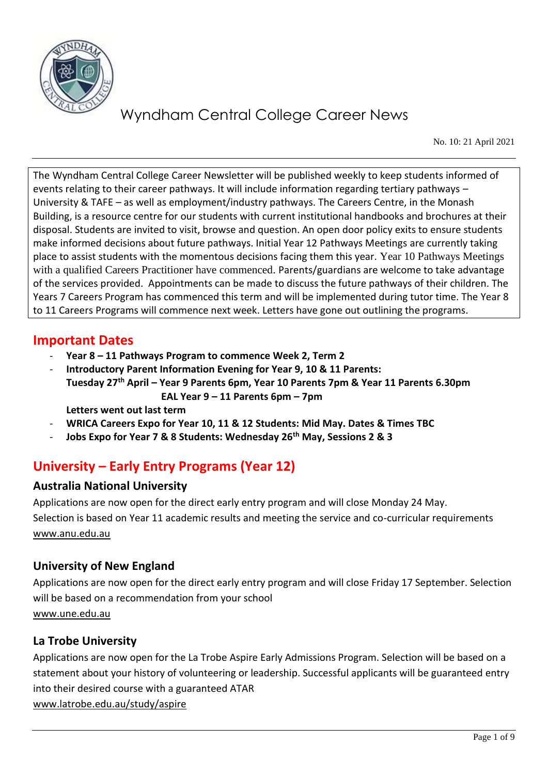

No. 10: 21 April 2021

The Wyndham Central College Career Newsletter will be published weekly to keep students informed of events relating to their career pathways. It will include information regarding tertiary pathways – University & TAFE – as well as employment/industry pathways. The Careers Centre, in the Monash Building, is a resource centre for our students with current institutional handbooks and brochures at their disposal. Students are invited to visit, browse and question. An open door policy exits to ensure students make informed decisions about future pathways. Initial Year 12 Pathways Meetings are currently taking place to assist students with the momentous decisions facing them this year. Year 10 Pathways Meetings with a qualified Careers Practitioner have commenced. Parents/guardians are welcome to take advantage of the services provided. Appointments can be made to discuss the future pathways of their children. The Years 7 Careers Program has commenced this term and will be implemented during tutor time. The Year 8 to 11 Careers Programs will commence next week. Letters have gone out outlining the programs.

## **Important Dates**

- **Year 8 – 11 Pathways Program to commence Week 2, Term 2**
- **Introductory Parent Information Evening for Year 9, 10 & 11 Parents: Tuesday 27th April – Year 9 Parents 6pm, Year 10 Parents 7pm & Year 11 Parents 6.30pm EAL Year 9 – 11 Parents 6pm – 7pm**

**Letters went out last term**

- **WRICA Careers Expo for Year 10, 11 & 12 Students: Mid May. Dates & Times TBC**
- **Jobs Expo for Year 7 & 8 Students: Wednesday 26th May, Sessions 2 & 3**

# **University – Early Entry Programs (Year 12)**

## **Australia National University**

Applications are now open for the direct early entry program and will close Monday 24 May. Selection is based on Year 11 academic results and meeting the service and co-curricular requirements [www.anu.edu.au](http://www.anu.edu.au/) 

## **University of New England**

Applications are now open for the direct early entry program and will close Friday 17 September. Selection will be based on a recommendation from your school [www.une.edu.au](http://www.une.edu.au/)

## **La Trobe University**

Applications are now open for the La Trobe Aspire Early Admissions Program. Selection will be based on a statement about your history of volunteering or leadership. Successful applicants will be guaranteed entry into their desired course with a guaranteed ATAR [www.latrobe.edu.au/study/aspire](http://www.latrobe.edu.au/study/aspire)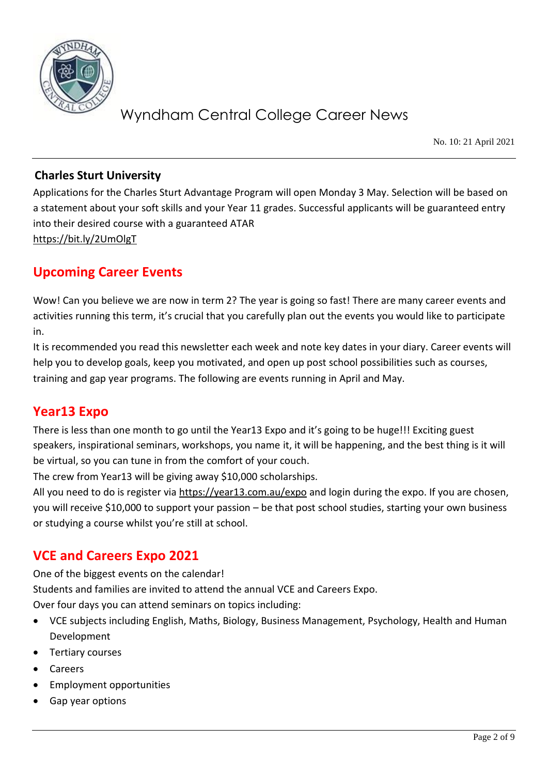

No. 10: 21 April 2021

### **Charles Sturt University**

Applications for the Charles Sturt Advantage Program will open Monday 3 May. Selection will be based on a statement about your soft skills and your Year 11 grades. Successful applicants will be guaranteed entry into their desired course with a guaranteed ATAR <https://bit.ly/2UmOlgT>

## **Upcoming Career Events**

Wow! Can you believe we are now in term 2? The year is going so fast! There are many career events and activities running this term, it's crucial that you carefully plan out the events you would like to participate in.

It is recommended you read this newsletter each week and note key dates in your diary. Career events will help you to develop goals, keep you motivated, and open up post school possibilities such as courses, training and gap year programs. The following are events running in April and May.

# **Year13 Expo**

There is less than one month to go until the Year13 Expo and it's going to be huge!!! Exciting guest speakers, inspirational seminars, workshops, you name it, it will be happening, and the best thing is it will be virtual, so you can tune in from the comfort of your couch.

The crew from Year13 will be giving away \$10,000 scholarships.

All you need to do is register via<https://year13.com.au/expo> and login during the expo. If you are chosen, you will receive \$10,000 to support your passion – be that post school studies, starting your own business or studying a course whilst you're still at school.

# **VCE and Careers Expo 2021**

One of the biggest events on the calendar! Students and families are invited to attend the annual VCE and Careers Expo. Over four days you can attend seminars on topics including:

- VCE subjects including English, Maths, Biology, Business Management, Psychology, Health and Human Development
- Tertiary courses
- **Careers**
- Employment opportunities
- Gap year options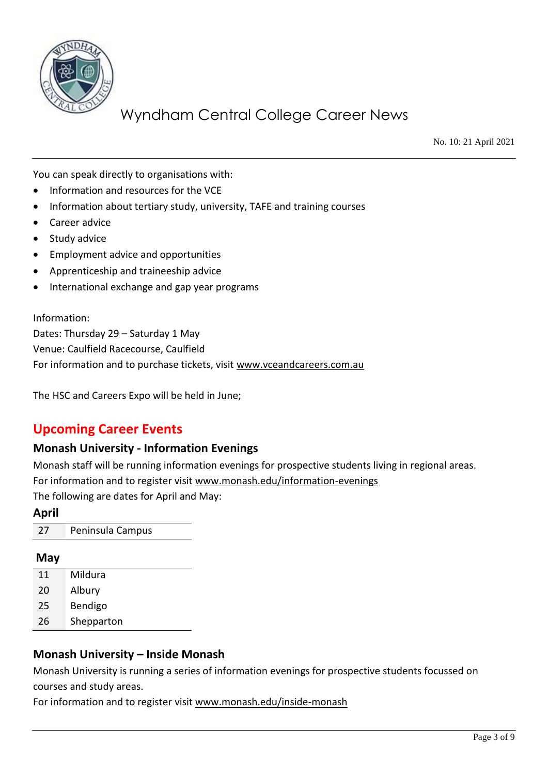

No. 10: 21 April 2021

You can speak directly to organisations with:

- Information and resources for the VCE
- Information about tertiary study, university, TAFE and training courses
- Career advice
- Study advice
- Employment advice and opportunities
- Apprenticeship and traineeship advice
- International exchange and gap year programs

#### Information:

Dates: Thursday 29 – Saturday 1 May Venue: Caulfield Racecourse, Caulfield For information and to purchase tickets, visit [www.vceandcareers.com.au](http://www.vceandcareers.com.au/)

The HSC and Careers Expo will be held in June;

## **Upcoming Career Events**

#### **Monash University - Information Evenings**

Monash staff will be running information evenings for prospective students living in regional areas. For information and to register visit [www.monash.edu/information-evenings](http://www.monash.edu/information-evenings) The following are dates for April and May:

**April** 27 Peninsula Campus

#### **May**

- 11 Mildura
- 20 Albury
- 25 Bendigo
- 26 Shepparton

### **Monash University – Inside Monash**

Monash University is running a series of information evenings for prospective students focussed on courses and study areas.

For information and to register visit [www.monash.edu/inside-monash](http://www.monash.edu/inside-monash)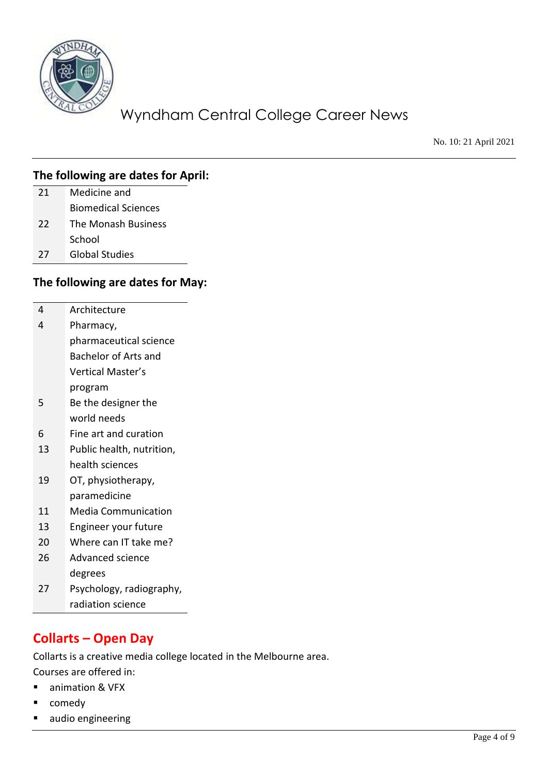

No. 10: 21 April 2021

| 21 | Medicine and               |
|----|----------------------------|
|    | <b>Biomedical Sciences</b> |
| 22 | The Monash Business        |
|    | School                     |
|    |                            |

27 Global Studies

### **The following are dates for May:**

- 4 Architecture 4 Pharmacy,
	- pharmaceutical science Bachelor of Arts and
		- Vertical Master's
		- program
- 5 Be the designer the world needs
- 6 Fine art and curation
- 13 Public health, nutrition, health sciences
- 19 OT, physiotherapy, paramedicine
- 11 Media Communication
- 13 Engineer your future
- 20 Where can IT take me?
- 26 Advanced science degrees
- 27 Psychology, radiography, radiation science

# **Collarts – Open Day**

Collarts is a creative media college located in the Melbourne area.

Courses are offered in:

- animation & VFX
- comedy
- audio engineering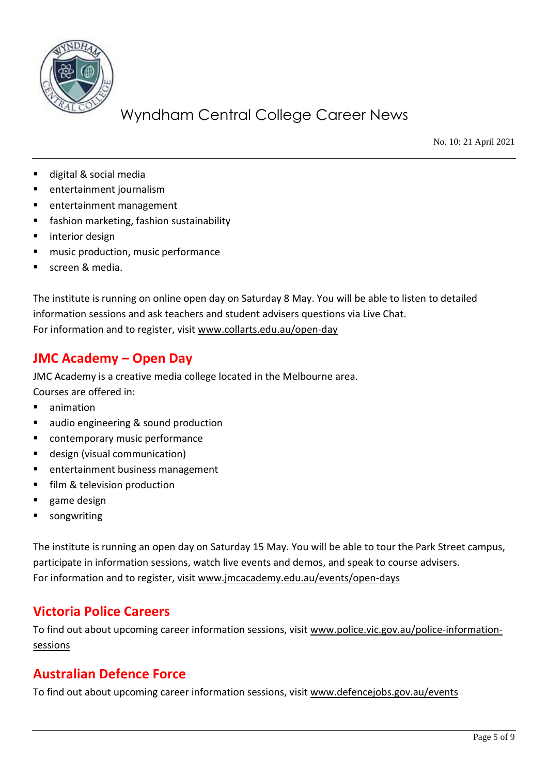

No. 10: 21 April 2021

- digital & social media
- entertainment journalism
- entertainment management
- fashion marketing, fashion sustainability
- interior design
- music production, music performance
- screen & media

The institute is running on online open day on Saturday 8 May. You will be able to listen to detailed information sessions and ask teachers and student advisers questions via Live Chat. For information and to register, visit [www.collarts.edu.au/open-day](http://www.collarts.edu.au/open-day)

## **JMC Academy – Open Day**

JMC Academy is a creative media college located in the Melbourne area. Courses are offered in:

- animation
- audio engineering & sound production
- contemporary music performance
- design (visual communication)
- entertainment business management
- film & television production
- game design
- songwriting

The institute is running an open day on Saturday 15 May. You will be able to tour the Park Street campus, participate in information sessions, watch live events and demos, and speak to course advisers. For information and to register, visit [www.jmcacademy.edu.au/events/open-days](http://www.jmcacademy.edu.au/events/open-days)

# **Victoria Police Careers**

To find out about upcoming career information sessions, visit [www.police.vic.gov.au/police-information](http://www.police.vic.gov.au/police-information-sessions)[sessions](http://www.police.vic.gov.au/police-information-sessions)

## **Australian Defence Force**

To find out about upcoming career information sessions, visit [www.defencejobs.gov.au/events](http://www.defencejobs.gov.au/events)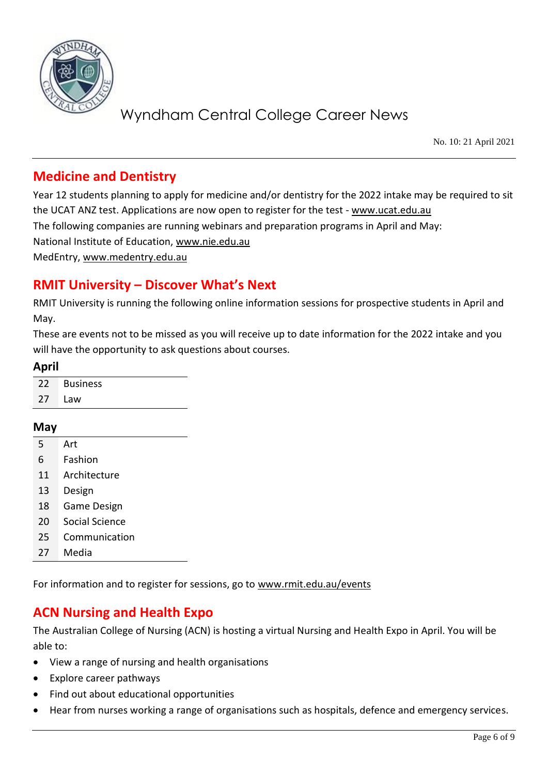

No. 10: 21 April 2021

## **Medicine and Dentistry**

Year 12 students planning to apply for medicine and/or dentistry for the 2022 intake may be required to sit the UCAT ANZ test. Applications are now open to register for the test - [www.ucat.edu.au](http://www.ucat.edu.au/) The following companies are running webinars and preparation programs in April and May: National Institute of Education, [www.nie.edu.au](http://www.nie.edu.au/) MedEntry, [www.medentry.edu.au](http://www.medentry.edu.au/)

## **RMIT University – Discover What's Next**

RMIT University is running the following online information sessions for prospective students in April and May.

These are events not to be missed as you will receive up to date information for the 2022 intake and you will have the opportunity to ask questions about courses.

#### **April**

|     | 22 Business |
|-----|-------------|
| -27 | Law         |

#### **May**

- 5 Art
- 6 Fashion
- 11 Architecture
- 13 Design
- 18 Game Design
- 20 Social Science
- 25 Communication
- 27 Media

For information and to register for sessions, go to [www.rmit.edu.au/events](http://www.rmit.edu.au/events)

## **ACN Nursing and Health Expo**

The Australian College of Nursing (ACN) is hosting a virtual Nursing and Health Expo in April. You will be able to:

- View a range of nursing and health organisations
- Explore career pathways
- Find out about educational opportunities
- Hear from nurses working a range of organisations such as hospitals, defence and emergency services.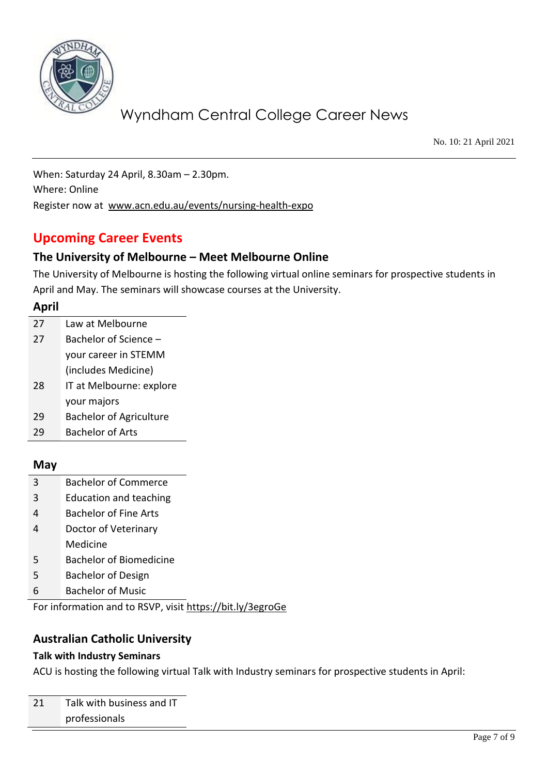

No. 10: 21 April 2021

When: Saturday 24 April, 8.30am – 2.30pm. Where: Online Register now at [www.acn.edu.au/events/nursing-health-expo](http://www.acn.edu.au/events/nursing-health-expo)

# **Upcoming Career Events**

### **The University of Melbourne – Meet Melbourne Online**

The University of Melbourne is hosting the following virtual online seminars for prospective students in April and May. The seminars will showcase courses at the University.

#### **April**

| 27 | Law at Melbourne               |  |
|----|--------------------------------|--|
| 27 | Bachelor of Science –          |  |
|    | your career in STEMM           |  |
|    | (includes Medicine)            |  |
| 28 | IT at Melbourne: explore       |  |
|    | your majors                    |  |
| 29 | <b>Bachelor of Agriculture</b> |  |
|    | Bachelor of Arts               |  |

### **May**

- 3 Bachelor of Commerce
- 3 Education and teaching
- 4 Bachelor of Fine Arts
- 4 Doctor of Veterinary Medicine
- 5 Bachelor of Biomedicine
- 5 Bachelor of Design
- 6 Bachelor of Music

For information and to RSVP, visit<https://bit.ly/3egroGe>

### **Australian Catholic University**

#### **Talk with Industry Seminars**

ACU is hosting the following virtual Talk with Industry seminars for prospective students in April: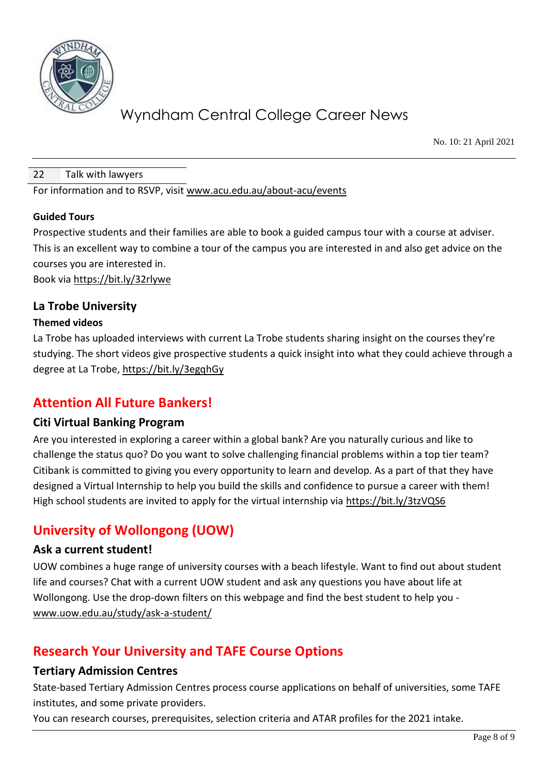

No. 10: 21 April 2021

#### 22 Talk with lawyers

For information and to RSVP, visit [www.acu.edu.au/about-acu/events](http://www.acu.edu.au/about-acu/events)

#### **Guided Tours**

Prospective students and their families are able to book a guided campus tour with a course at adviser. This is an excellent way to combine a tour of the campus you are interested in and also get advice on the courses you are interested in.

Book via<https://bit.ly/32rlywe>

### **La Trobe University**

#### **Themed videos**

La Trobe has uploaded interviews with current La Trobe students sharing insight on the courses they're studying. The short videos give prospective students a quick insight into what they could achieve through a degree at La Trobe,<https://bit.ly/3egqhGy>

## **Attention All Future Bankers!**

#### **Citi Virtual Banking Program**

Are you interested in exploring a career within a global bank? Are you naturally curious and like to challenge the status quo? Do you want to solve challenging financial problems within a top tier team? Citibank is committed to giving you every opportunity to learn and develop. As a part of that they have designed a Virtual Internship to help you build the skills and confidence to pursue a career with them! High school students are invited to apply for the virtual internship via<https://bit.ly/3tzVQS6>

## **University of Wollongong (UOW)**

#### **Ask a current student!**

UOW combines a huge range of university courses with a beach lifestyle. Want to find out about student life and courses? Chat with a current UOW student and ask any questions you have about life at Wollongong. Use the drop-down filters on this webpage and find the best student to help you [www.uow.edu.au/study/ask-a-student/](http://www.uow.edu.au/study/ask-a-student/) 

## **Research Your University and TAFE Course Options**

#### **Tertiary Admission Centres**

State-based Tertiary Admission Centres process course applications on behalf of universities, some TAFE institutes, and some private providers.

You can research courses, prerequisites, selection criteria and ATAR profiles for the 2021 intake.